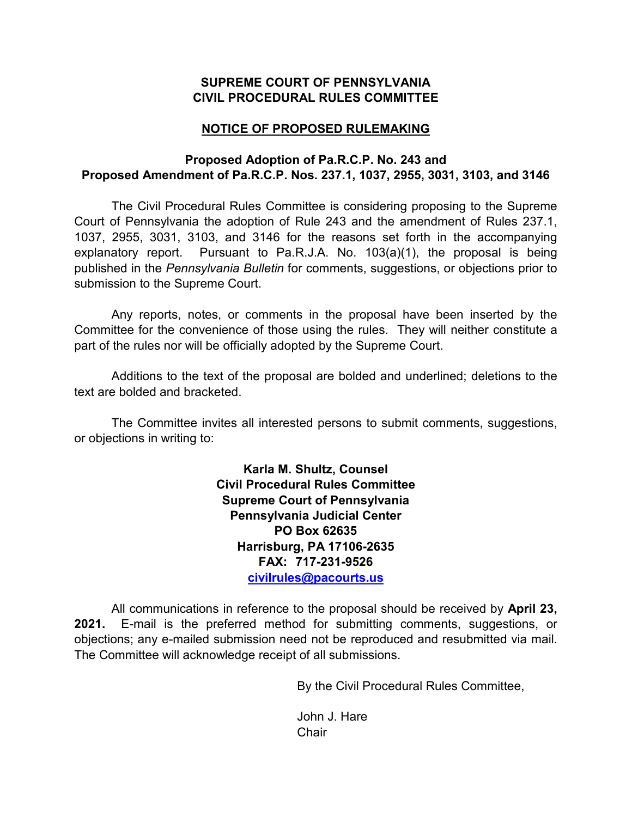### **SUPREME COURT OF PENNSYLVANIA CIVIL PROCEDURAL RULES COMMITTEE**

## **NOTICE OF PROPOSED RULEMAKING**

### **Proposed Adoption of Pa.R.C.P. No. 243 and Proposed Amendment of Pa.R.C.P. Nos. 237.1, 1037, 2955, 3031, 3103, and 3146**

The Civil Procedural Rules Committee is considering proposing to the Supreme Court of Pennsylvania the adoption of Rule 243 and the amendment of Rules 237.1, 1037, 2955, 3031, 3103, and 3146 for the reasons set forth in the accompanying explanatory report. Pursuant to Pa.R.J.A. No. 103(a)(1), the proposal is being published in the *Pennsylvania Bulletin* for comments, suggestions, or objections prior to submission to the Supreme Court.

Any reports, notes, or comments in the proposal have been inserted by the Committee for the convenience of those using the rules. They will neither constitute a part of the rules nor will be officially adopted by the Supreme Court.

Additions to the text of the proposal are bolded and underlined; deletions to the text are bolded and bracketed.

The Committee invites all interested persons to submit comments, suggestions, or objections in writing to:

> **Karla M. Shultz, Counsel Civil Procedural Rules Committee Supreme Court of Pennsylvania Pennsylvania Judicial Center PO Box 62635 Harrisburg, PA 17106-2635 FAX: 717-231-9526 [civilrules@pacourts.us](mailto:civilrules@pacourts.us)**

All communications in reference to the proposal should be received by **April 23, 2021.** E-mail is the preferred method for submitting comments, suggestions, or objections; any e-mailed submission need not be reproduced and resubmitted via mail. The Committee will acknowledge receipt of all submissions.

By the Civil Procedural Rules Committee,

John J. Hare **Chair**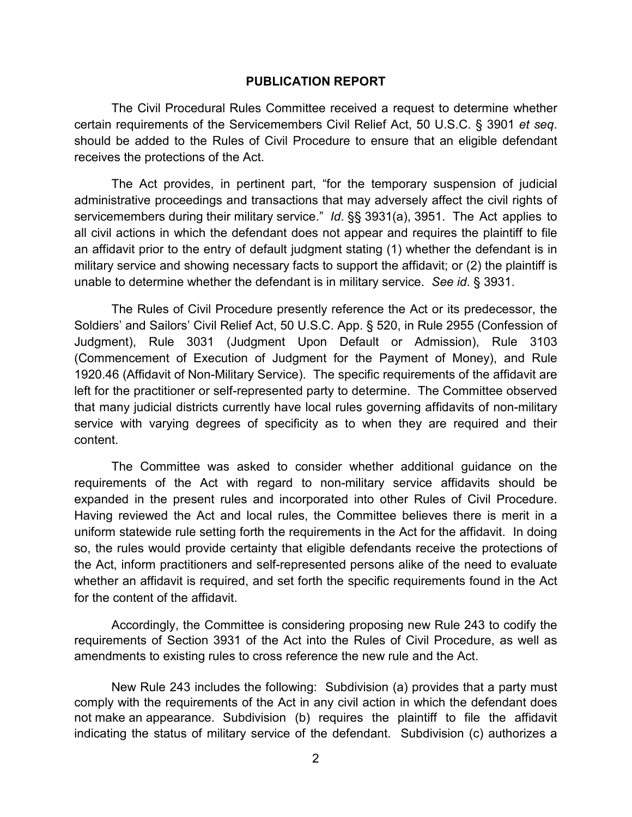#### **PUBLICATION REPORT**

The Civil Procedural Rules Committee received a request to determine whether certain requirements of the Servicemembers Civil Relief Act, 50 U.S.C. § 3901 *et seq*. should be added to the Rules of Civil Procedure to ensure that an eligible defendant receives the protections of the Act.

The Act provides, in pertinent part, "for the temporary suspension of judicial administrative proceedings and transactions that may adversely affect the civil rights of servicemembers during their military service." *Id*. §§ 3931(a), 3951. The Act applies to all civil actions in which the defendant does not appear and requires the plaintiff to file an affidavit prior to the entry of default judgment stating (1) whether the defendant is in military service and showing necessary facts to support the affidavit; or (2) the plaintiff is unable to determine whether the defendant is in military service. *See id*. § 3931.

The Rules of Civil Procedure presently reference the Act or its predecessor, the Soldiers' and Sailors' Civil Relief Act, 50 U.S.C. App. § 520, in Rule 2955 (Confession of Judgment), Rule 3031 (Judgment Upon Default or Admission), Rule 3103 (Commencement of Execution of Judgment for the Payment of Money), and Rule 1920.46 (Affidavit of Non-Military Service). The specific requirements of the affidavit are left for the practitioner or self-represented party to determine. The Committee observed that many judicial districts currently have local rules governing affidavits of non-military service with varying degrees of specificity as to when they are required and their content.

The Committee was asked to consider whether additional guidance on the requirements of the Act with regard to non-military service affidavits should be expanded in the present rules and incorporated into other Rules of Civil Procedure. Having reviewed the Act and local rules, the Committee believes there is merit in a uniform statewide rule setting forth the requirements in the Act for the affidavit. In doing so, the rules would provide certainty that eligible defendants receive the protections of the Act, inform practitioners and self-represented persons alike of the need to evaluate whether an affidavit is required, and set forth the specific requirements found in the Act for the content of the affidavit.

Accordingly, the Committee is considering proposing new Rule 243 to codify the requirements of Section 3931 of the Act into the Rules of Civil Procedure, as well as amendments to existing rules to cross reference the new rule and the Act.

New Rule 243 includes the following: Subdivision (a) provides that a party must comply with the requirements of the Act in any civil action in which the defendant does not make an appearance. Subdivision (b) requires the plaintiff to file the affidavit indicating the status of military service of the defendant. Subdivision (c) authorizes a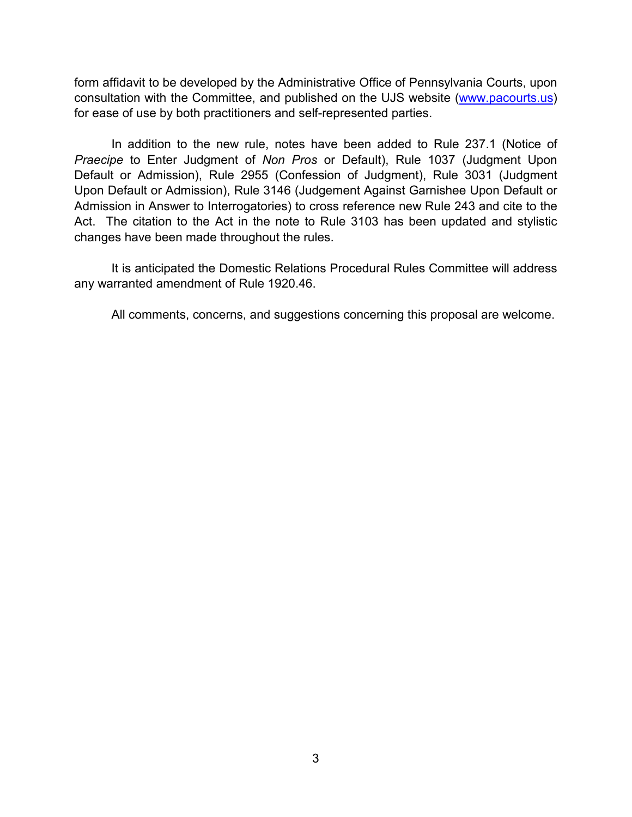form affidavit to be developed by the Administrative Office of Pennsylvania Courts, upon consultation with the Committee, and published on the UJS website [\(www.pacourts.us\)](http://www.pacourts.us/) for ease of use by both practitioners and self-represented parties.

In addition to the new rule, notes have been added to Rule 237.1 (Notice of *Praecipe* to Enter Judgment of *Non Pros* or Default), Rule 1037 (Judgment Upon Default or Admission), Rule 2955 (Confession of Judgment), Rule 3031 (Judgment Upon Default or Admission), Rule 3146 (Judgement Against Garnishee Upon Default or Admission in Answer to Interrogatories) to cross reference new Rule 243 and cite to the Act. The citation to the Act in the note to Rule 3103 has been updated and stylistic changes have been made throughout the rules.

It is anticipated the Domestic Relations Procedural Rules Committee will address any warranted amendment of Rule 1920.46.

All comments, concerns, and suggestions concerning this proposal are welcome.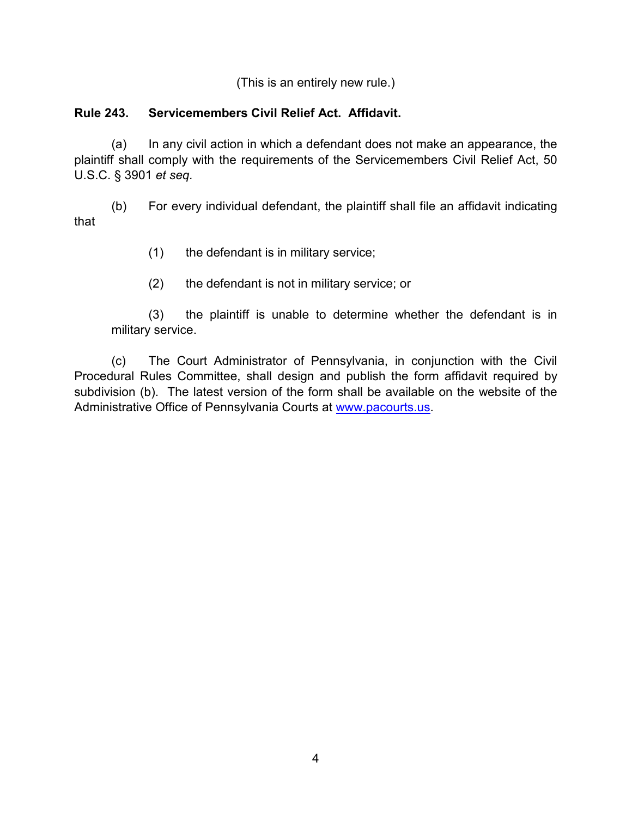(This is an entirely new rule.)

# **Rule 243. Servicemembers Civil Relief Act. Affidavit.**

(a) In any civil action in which a defendant does not make an appearance, the plaintiff shall comply with the requirements of the Servicemembers Civil Relief Act, 50 U.S.C. § 3901 *et seq.*

(b) For every individual defendant, the plaintiff shall file an affidavit indicating that

- (1) the defendant is in military service;
- (2) the defendant is not in military service; or

(3) the plaintiff is unable to determine whether the defendant is in military service.

(c) The Court Administrator of Pennsylvania, in conjunction with the Civil Procedural Rules Committee, shall design and publish the form affidavit required by subdivision (b). The latest version of the form shall be available on the website of the Administrative Office of Pennsylvania Courts at [www.pacourts.us.](http://www.pacourts.us/)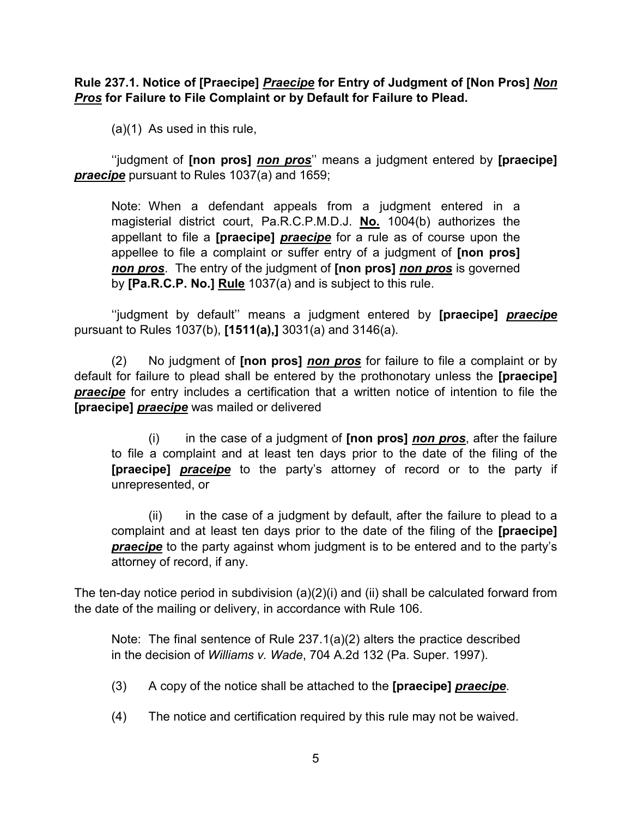**Rule 237.1. Notice of [Praecipe]** *Praecipe* **for Entry of Judgment of [Non Pros]** *Non Pros* **for Failure to File Complaint or by Default for Failure to Plead.**

(a)(1) As used in this rule,

 ''judgment of **[non pros]** *non pros*'' means a judgment entered by **[praecipe]** *praecipe* pursuant to Rules 1037(a) and 1659;

Note: When a defendant appeals from a judgment entered in a magisterial district court, Pa.R.C.P.M.D.J. **No.** 1004(b) authorizes the appellant to file a **[praecipe]** *praecipe* for a rule as of course upon the appellee to file a complaint or suffer entry of a judgment of **[non pros]** *non pros*. The entry of the judgment of **[non pros]** *non pros* is governed by **[Pa.R.C.P. No.] Rule** 1037(a) and is subject to this rule.

''judgment by default'' means a judgment entered by **[praecipe]** *praecipe* pursuant to Rules 1037(b), **[1511(a),]** 3031(a) and 3146(a).

(2) No judgment of **[non pros]** *non pros* for failure to file a complaint or by default for failure to plead shall be entered by the prothonotary unless the **[praecipe] praecipe** for entry includes a certification that a written notice of intention to file the **[praecipe]** *praecipe* was mailed or delivered

(i) in the case of a judgment of **[non pros]** *non pros*, after the failure to file a complaint and at least ten days prior to the date of the filing of the **[praecipe]** *praceipe* to the party's attorney of record or to the party if unrepresented, or

(ii) in the case of a judgment by default, after the failure to plead to a complaint and at least ten days prior to the date of the filing of the **[praecipe]**  *praecipe* to the party against whom judgment is to be entered and to the party's attorney of record, if any.

The ten-day notice period in subdivision (a)(2)(i) and (ii) shall be calculated forward from the date of the mailing or delivery, in accordance with Rule 106.

Note: The final sentence of Rule 237.1(a)(2) alters the practice described in the decision of *Williams v. Wade*, 704 A.2d 132 (Pa. Super. 1997).

- (3) A copy of the notice shall be attached to the **[praecipe]** *praecipe*.
- (4) The notice and certification required by this rule may not be waived.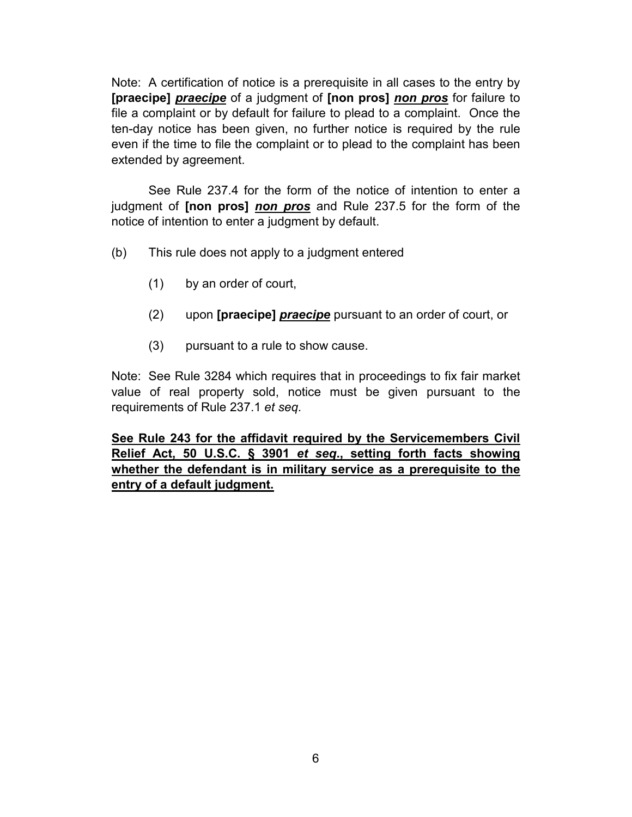Note: A certification of notice is a prerequisite in all cases to the entry by **[praecipe]** *praecipe* of a judgment of **[non pros]** *non pros* for failure to file a complaint or by default for failure to plead to a complaint. Once the ten-day notice has been given, no further notice is required by the rule even if the time to file the complaint or to plead to the complaint has been extended by agreement.

See Rule 237.4 for the form of the notice of intention to enter a judgment of **[non pros]** *non pros* and Rule 237.5 for the form of the notice of intention to enter a judgment by default.

- (b) This rule does not apply to a judgment entered
	- (1) by an order of court,
	- (2) upon **[praecipe]** *praecipe* pursuant to an order of court, or
	- (3) pursuant to a rule to show cause.

Note: See Rule 3284 which requires that in proceedings to fix fair market value of real property sold, notice must be given pursuant to the requirements of Rule 237.1 *et seq.*

**See Rule 243 for the affidavit required by the Servicemembers Civil Relief Act, 50 U.S.C. § 3901** *et seq***., setting forth facts showing whether the defendant is in military service as a prerequisite to the entry of a default judgment.**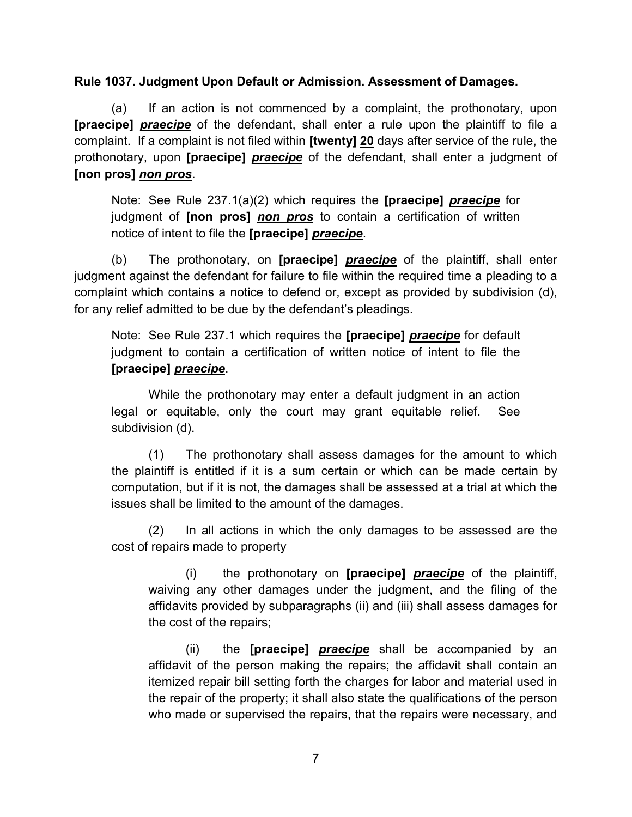### **Rule 1037. Judgment Upon Default or Admission. Assessment of Damages.**

(a) If an action is not commenced by a complaint, the prothonotary, upon **[praecipe]** *praecipe* of the defendant, shall enter a rule upon the plaintiff to file a complaint. If a complaint is not filed within **[twenty] 20** days after service of the rule, the prothonotary, upon **[praecipe]** *praecipe* of the defendant, shall enter a judgment of **[non pros]** *non pros*.

Note: See Rule 237.1(a)(2) which requires the **[praecipe]** *praecipe* for judgment of **[non pros]** *non pros* to contain a certification of written notice of intent to file the **[praecipe]** *praecipe*.

(b) The prothonotary, on **[praecipe]** *praecipe* of the plaintiff, shall enter judgment against the defendant for failure to file within the required time a pleading to a complaint which contains a notice to defend or, except as provided by subdivision (d), for any relief admitted to be due by the defendant's pleadings.

Note: See Rule 237.1 which requires the **[praecipe]** *praecipe* for default judgment to contain a certification of written notice of intent to file the **[praecipe]** *praecipe*.

 While the prothonotary may enter a default judgment in an action legal or equitable, only the court may grant equitable relief. See subdivision (d).

 (1) The prothonotary shall assess damages for the amount to which the plaintiff is entitled if it is a sum certain or which can be made certain by computation, but if it is not, the damages shall be assessed at a trial at which the issues shall be limited to the amount of the damages.

 (2) In all actions in which the only damages to be assessed are the cost of repairs made to property

(i) the prothonotary on **[praecipe]** *praecipe* of the plaintiff, waiving any other damages under the judgment, and the filing of the affidavits provided by subparagraphs (ii) and (iii) shall assess damages for the cost of the repairs;

 (ii) the **[praecipe]** *praecipe* shall be accompanied by an affidavit of the person making the repairs; the affidavit shall contain an itemized repair bill setting forth the charges for labor and material used in the repair of the property; it shall also state the qualifications of the person who made or supervised the repairs, that the repairs were necessary, and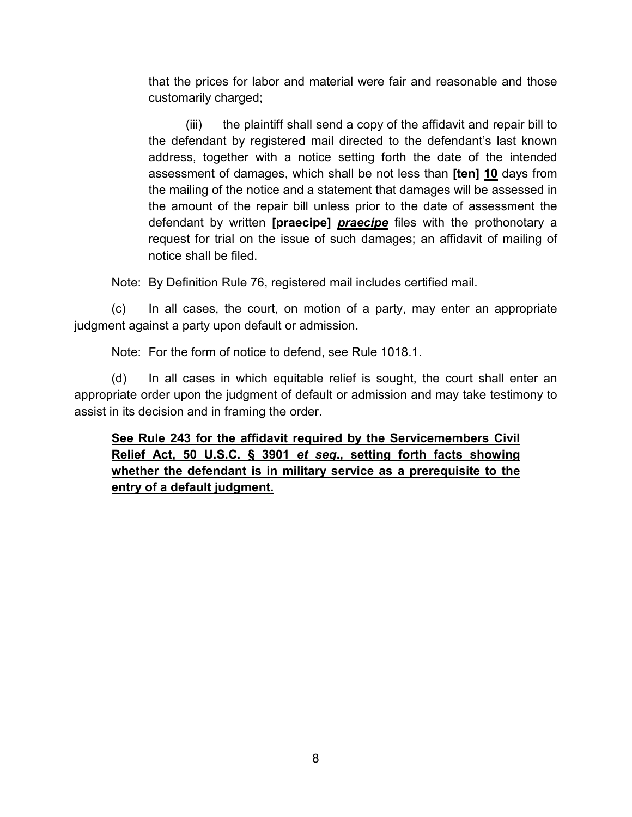that the prices for labor and material were fair and reasonable and those customarily charged;

 (iii) the plaintiff shall send a copy of the affidavit and repair bill to the defendant by registered mail directed to the defendant's last known address, together with a notice setting forth the date of the intended assessment of damages, which shall be not less than **[ten] 10** days from the mailing of the notice and a statement that damages will be assessed in the amount of the repair bill unless prior to the date of assessment the defendant by written **[praecipe]** *praecipe* files with the prothonotary a request for trial on the issue of such damages; an affidavit of mailing of notice shall be filed.

Note: By Definition Rule 76, registered mail includes certified mail.

(c) In all cases, the court, on motion of a party, may enter an appropriate judgment against a party upon default or admission.

Note: For the form of notice to defend, see Rule 1018.1.

(d) In all cases in which equitable relief is sought, the court shall enter an appropriate order upon the judgment of default or admission and may take testimony to assist in its decision and in framing the order.

**See Rule 243 for the affidavit required by the Servicemembers Civil Relief Act, 50 U.S.C. § 3901** *et seq***., setting forth facts showing whether the defendant is in military service as a prerequisite to the entry of a default judgment.**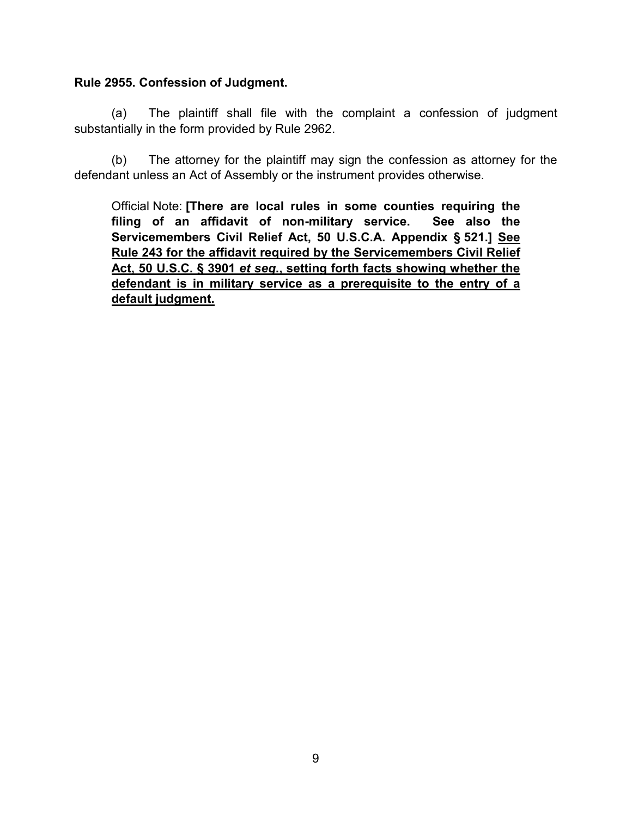#### **Rule 2955. Confession of Judgment.**

(a) The plaintiff shall file with the complaint a confession of judgment substantially in the form provided by Rule 2962.

(b) The attorney for the plaintiff may sign the confession as attorney for the defendant unless an Act of Assembly or the instrument provides otherwise.

Official Note: **[There are local rules in some counties requiring the filing of an affidavit of non-military service. See also the Servicemembers Civil Relief Act, 50 U.S.C.A. Appendix § 521.] See Rule 243 for the affidavit required by the Servicemembers Civil Relief Act, 50 U.S.C. § 3901** *et seq***., setting forth facts showing whether the defendant is in military service as a prerequisite to the entry of a default judgment.**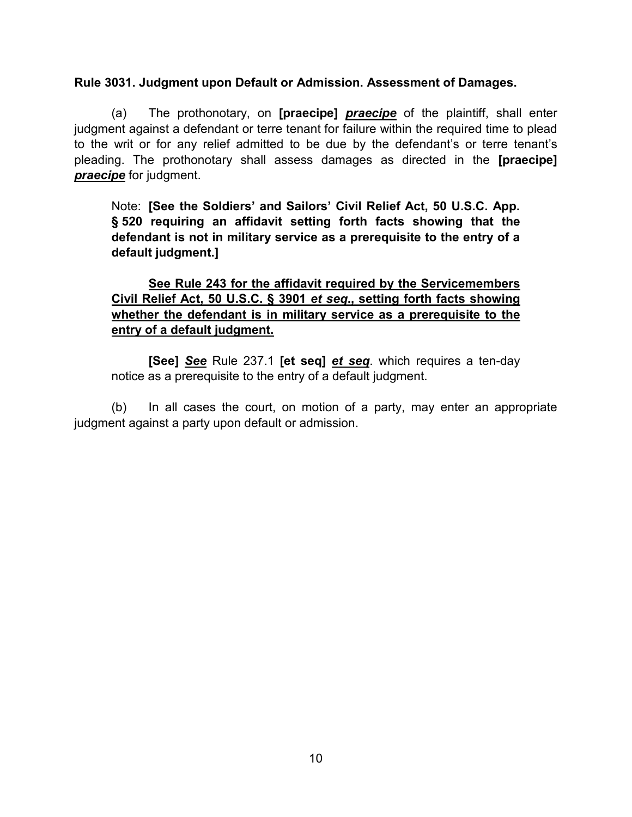### **Rule 3031. Judgment upon Default or Admission. Assessment of Damages.**

(a) The prothonotary, on **[praecipe]** *praecipe* of the plaintiff, shall enter judgment against a defendant or terre tenant for failure within the required time to plead to the writ or for any relief admitted to be due by the defendant's or terre tenant's pleading. The prothonotary shall assess damages as directed in the **[praecipe]** *praecipe* for judgment.

Note: **[See the Soldiers' and Sailors' Civil Relief Act, 50 U.S.C. App. § 520 requiring an affidavit setting forth facts showing that the defendant is not in military service as a prerequisite to the entry of a default judgment.]**

# **See Rule 243 for the affidavit required by the Servicemembers Civil Relief Act, 50 U.S.C. § 3901** *et seq***., setting forth facts showing whether the defendant is in military service as a prerequisite to the entry of a default judgment.**

**[See]** *See* Rule 237.1 **[et seq]** *et seq*. which requires a ten-day notice as a prerequisite to the entry of a default judgment.

(b) In all cases the court, on motion of a party, may enter an appropriate judgment against a party upon default or admission.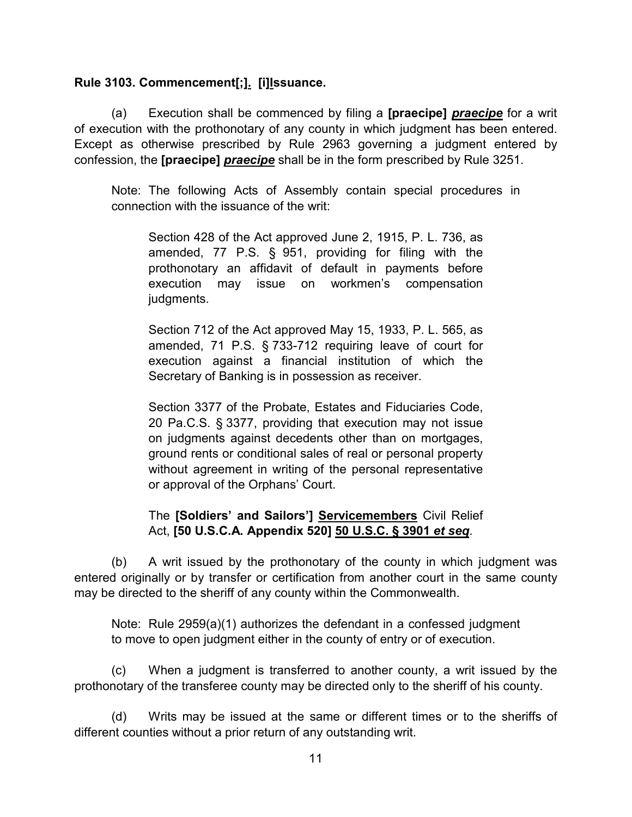## **Rule 3103. Commencement[;]. [i]Issuance.**

(a) Execution shall be commenced by filing a **[praecipe]** *praecipe* for a writ of execution with the prothonotary of any county in which judgment has been entered. Except as otherwise prescribed by Rule 2963 governing a judgment entered by confession, the **[praecipe]** *praecipe* shall be in the form prescribed by Rule 3251.

Note: The following Acts of Assembly contain special procedures in connection with the issuance of the writ:

Section 428 of the Act approved June 2, 1915, P. L. 736, as amended, 77 P.S. § 951, providing for filing with the prothonotary an affidavit of default in payments before execution may issue on workmen's compensation judgments.

Section 712 of the Act approved May 15, 1933, P. L. 565, as amended, 71 P.S. § 733-712 requiring leave of court for execution against a financial institution of which the Secretary of Banking is in possession as receiver.

Section 3377 of the Probate, Estates and Fiduciaries Code, 20 Pa.C.S. § 3377, providing that execution may not issue on judgments against decedents other than on mortgages, ground rents or conditional sales of real or personal property without agreement in writing of the personal representative or approval of the Orphans' Court.

# The **[Soldiers' and Sailors'] Servicemembers** Civil Relief Act, **[50 U.S.C.A. Appendix 520] 50 U.S.C. § 3901** *et seq*.

(b) A writ issued by the prothonotary of the county in which judgment was entered originally or by transfer or certification from another court in the same county may be directed to the sheriff of any county within the Commonwealth.

Note: Rule 2959(a)(1) authorizes the defendant in a confessed judgment to move to open judgment either in the county of entry or of execution.

(c) When a judgment is transferred to another county, a writ issued by the prothonotary of the transferee county may be directed only to the sheriff of his county.

(d) Writs may be issued at the same or different times or to the sheriffs of different counties without a prior return of any outstanding writ.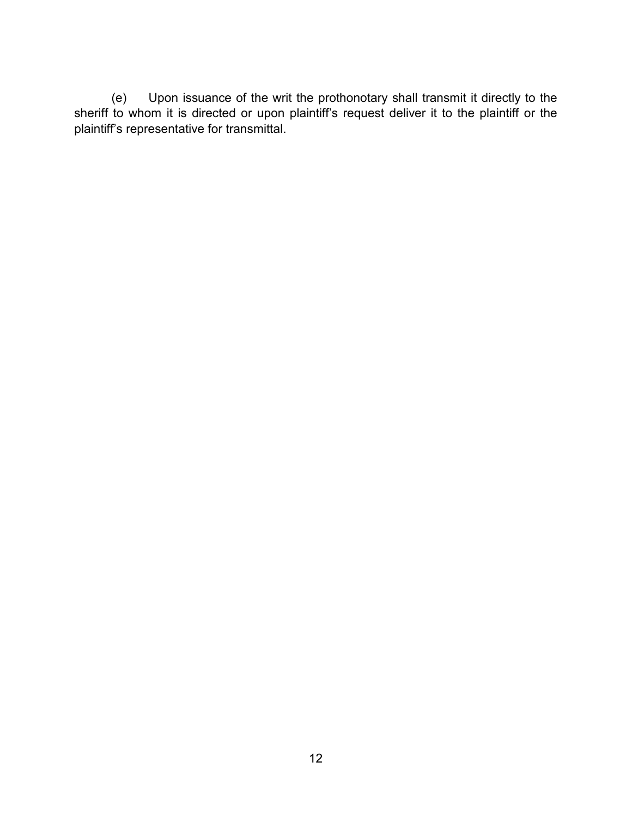(e) Upon issuance of the writ the prothonotary shall transmit it directly to the sheriff to whom it is directed or upon plaintiff's request deliver it to the plaintiff or the plaintiff's representative for transmittal.